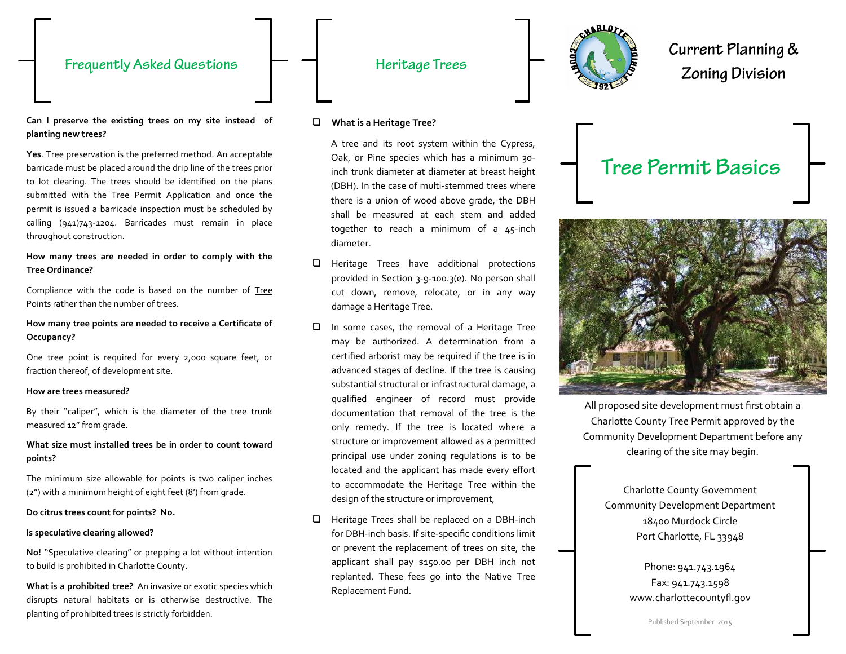## **Frequently Asked Questions**

## Heritage Trees



Current Planning & **Zoning Division** 

#### **Can I preserve the existing trees on my site instead of planting new trees?**

**Yes**. Tree preservation is the preferred method. An acceptable barricade must be placed around the drip line of the trees prior to lot clearing. The trees should be identified on the plans submitted with the Tree Permit Application and once the permit is issued a barricade inspection must be scheduled by calling (941)743-1204. Barricades must remain in place throughout construction.

### **How many trees are needed in order to comply with the Tree Ordinance?**

Compliance with the code is based on the number of Tree Points rather than the number of trees.

### **How many tree points are needed to receive a Certificate of Occupancy?**

One tree point is required for every 2,000 square feet, or fraction thereof, of development site.

#### **How are trees measured?**

By their "caliper", which is the diameter of the tree trunk measured 12" from grade.

### **What size must installed trees be in order to count toward points?**

The minimum size allowable for points is two caliper inches (2") with a minimum height of eight feet (8') from grade.

#### **Do citrus trees count for points? No.**

#### **Is speculative clearing allowed?**

**No!** "Speculative clearing" or prepping a lot without intention to build is prohibited in Charlotte County.

**What is a prohibited tree?** An invasive or exotic species which disrupts natural habitats or is otherwise destructive. The planting of prohibited trees is strictly forbidden.

#### **What is a Heritage Tree?**

A tree and its root system within the Cypress, Oak, or Pine species which has a minimum 30 inch trunk diameter at diameter at breast height (DBH). In the case of multi-stemmed trees where there is a union of wood above grade, the DBH shall be measured at each stem and added together to reach a minimum of a 45-inch diameter.

- $\Box$  Heritage Trees have additional protections provided in Section 3-9-100.3(e). No person shall cut down, remove, relocate, or in any way damage a Heritage Tree.
- $\Box$  In some cases, the removal of a Heritage Tree may be authorized. A determination from a certified arborist may be required if the tree is in advanced stages of decline. If the tree is causing substantial structural or infrastructural damage, a qualified engineer of record must provide documentation that removal of the tree is the only remedy. If the tree is located where a structure or improvement allowed as a permitted principal use under zoning regulations is to be located and the applicant has made every effort to accommodate the Heritage Tree within the design of the structure or improvement,
- $\Box$  Heritage Trees shall be replaced on a DBH-inch for DBH-inch basis. If site-specific conditions limit or prevent the replacement of trees on site, the applicant shall pay \$150.00 per DBH inch not replanted. These fees go into the Native Tree Replacement Fund.





All proposed site development must first obtain a Charlotte County Tree Permit approved by the Community Development Department before any clearing of the site may begin.

> Charlotte County Government Community Development Department 18400 Murdock Circle Port Charlotte, FL 33948

> > Phone: 941.743.1964 Fax: 941.743.1598 www.charlottecountyfl.gov